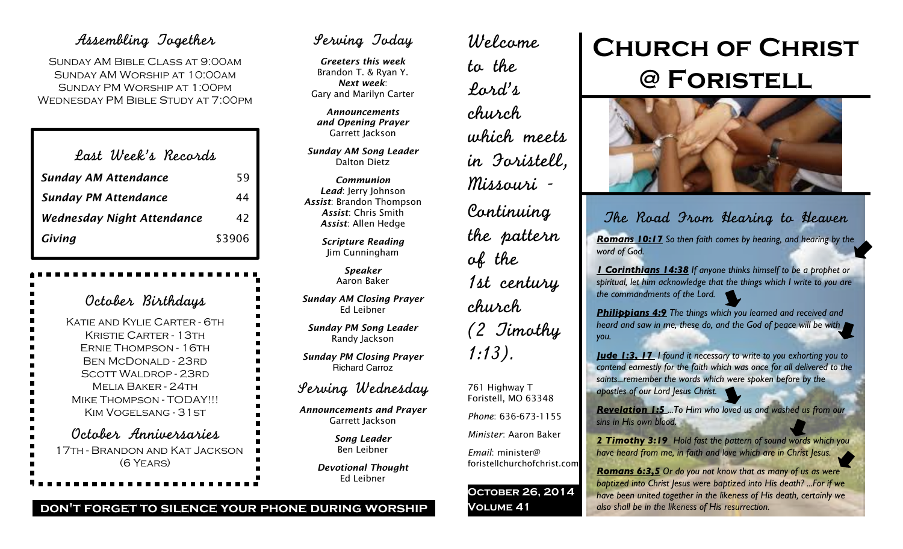## Assembling Together

Sunday AM Bible Class at 9:00am Sunday AM Worship at 10:00am Sunday PM Worship at 1:00pm Wednesday PM Bible Study at 7:00pm

| Last Week's Records               |        |
|-----------------------------------|--------|
| <b>Sunday AM Attendance</b>       | 59     |
| <b>Sunday PM Attendance</b>       | 44     |
| <b>Wednesday Night Attendance</b> | 42     |
| Giving                            | \$3906 |

October Birthdays Katie and Kylie Carter - 6th Kristie Carter - 13th Ernie Thompson - 16th Ben McDonald - 23rd Scott Waldrop - 23rd Melia Baker - 24th Mike Thompson - TODAY!!! Kim Vogelsang - 31st October Anniversaries 17th - Brandon and Kat Jackson (6 Years)

## Serving Today

*Greeters this week* Brandon T. & Ryan Y. *Next week*: Gary and Marilyn Carter

*Announcements and Opening Prayer* Garrett Jackson

*Sunday AM Song Leader* Dalton Dietz

*Communion Lead*: Jerry Johnson *Assist*: Brandon Thompson *Assist*: Chris Smith *Assist*: Allen Hedge

> *Scripture Reading* Jim Cunningham

> > *Speaker* Aaron Baker

*Sunday AM Closing Prayer* Ed Leibner

*Sunday PM Song Leader* Randy Jackson

*Sunday PM Closing Prayer* Richard Carroz

## Serving Wednesday

*Announcements and Prayer* Garrett Jackson

> *Song Leader* Ben Leibner

*Devotional Thought* Ed Leibner

Welcome to the Lord's church which meets in Foristell, Missouri - Continuing the pattern of the 1st century church (2 Timothy 1:13). 761 Highway T Foristell, MO 63348 *Phone*: 636-673-1155

### *Minister*: Aaron Baker

*Email*: minister@ foristellchurchofchrist.com

**October 26, 2014 Volume 41**

# **Church of Christ @ Foristell**



The Road From Hearing to Heaven

*Romans 10:17 So then faith comes by hearing, and hearing by the word of God.*

*1 Corinthians 14:38 If anyone thinks himself to be a prophet or spiritual, let him acknowledge that the things which I write to you are the commandments of the Lord.*

*Philippians 4:9 The things which you learned and received and heard and saw in me, these do, and the God of peace will be with you.*

*Jude 1:3, 17 I found it necessary to write to you exhorting you to contend earnestly for the faith which was once for all delivered to the saints...remember the words which were spoken before by the apostles of our Lord Jesus Christ.*

*Revelation 1:5 ...To Him who loved us and washed us from our sins in His own blood.*

*2 Timothy 3:19 Hold fast the pattern of sound words which you have heard from me, in faith and love which are in Christ Jesus.*

*Romans 6:3,5 Or do you not know that as many of us as were baptized into Christ Jesus were baptized into His death? ...For if we have been united together in the likeness of His death, certainly we also shall be in the likeness of His resurrection.*

#### **don't forget to silence your phone during worship**